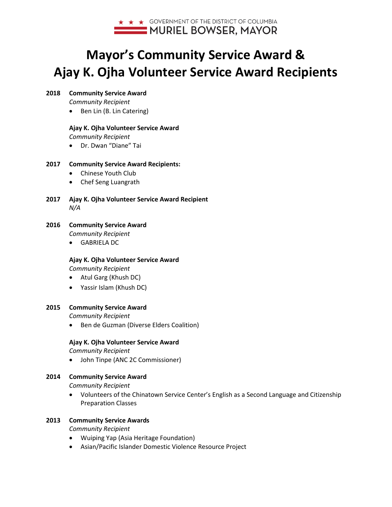

# **Mayor's Community Service Award & Ajay K. Ojha Volunteer Service Award Recipients**

# **2018 Community Service Award**

*Community Recipient*

• Ben Lin (B. Lin Catering)

# **Ajay K. Ojha Volunteer Service Award**

*Community Recipient*

• Dr. Dwan "Diane" Tai

# **2017 Community Service Award Recipients:**

- Chinese Youth Club
- Chef Seng Luangrath
- **2017 Ajay K. Ojha Volunteer Service Award Recipient** *N/A*

# **2016 Community Service Award**

*Community Recipient*

• GABRIELA DC

# **Ajay K. Ojha Volunteer Service Award**

*Community Recipient*

- Atul Garg (Khush DC)
- Yassir Islam (Khush DC)

# **2015 Community Service Award**

*Community Recipient*

• Ben de Guzman (Diverse Elders Coalition)

# **Ajay K. Ojha Volunteer Service Award**

*Community Recipient*

• John Tinpe (ANC 2C Commissioner)

# **2014 Community Service Award**

*Community Recipient*

• Volunteers of the Chinatown Service Center's English as a Second Language and Citizenship Preparation Classes

# **2013 Community Service Awards**

*Community Recipient*

- Wuiping Yap (Asia Heritage Foundation)
- Asian/Pacific Islander Domestic Violence Resource Project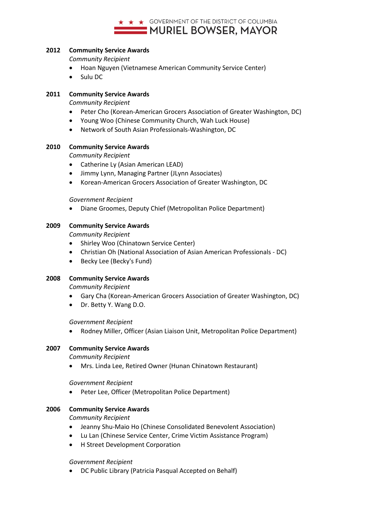

#### **2012 Community Service Awards**

*Community Recipient*

- Hoan Nguyen (Vietnamese American Community Service Center)
- Sulu DC

#### **2011 Community Service Awards**

*Community Recipient*

- Peter Cho (Korean-American Grocers Association of Greater Washington, DC)
- Young Woo (Chinese Community Church, Wah Luck House)
- Network of South Asian Professionals-Washington, DC

#### **2010 Community Service Awards**

*Community Recipient*

- Catherine Ly (Asian American LEAD)
- Jimmy Lynn, Managing Partner (JLynn Associates)
- Korean-American Grocers Association of Greater Washington, DC

*Government Recipient*

• Diane Groomes, Deputy Chief (Metropolitan Police Department)

#### **2009 Community Service Awards**

*Community Recipient*

- Shirley Woo (Chinatown Service Center)
- Christian Oh (National Association of Asian American Professionals DC)
- Becky Lee (Becky's Fund)

#### **2008 Community Service Awards**

*Community Recipient*

- Gary Cha (Korean-American Grocers Association of Greater Washington, DC)
- Dr. Betty Y. Wang D.O.

#### *Government Recipient*

• Rodney Miller, Officer (Asian Liaison Unit, Metropolitan Police Department)

#### **2007 Community Service Awards**

*Community Recipient*

• Mrs. Linda Lee, Retired Owner (Hunan Chinatown Restaurant)

*Government Recipient*

• Peter Lee, Officer (Metropolitan Police Department)

#### **2006 Community Service Awards**

*Community Recipient*

- Jeanny Shu-Maio Ho (Chinese Consolidated Benevolent Association)
- Lu Lan (Chinese Service Center, Crime Victim Assistance Program)
- H Street Development Corporation

#### *Government Recipient*

• DC Public Library (Patricia Pasqual Accepted on Behalf)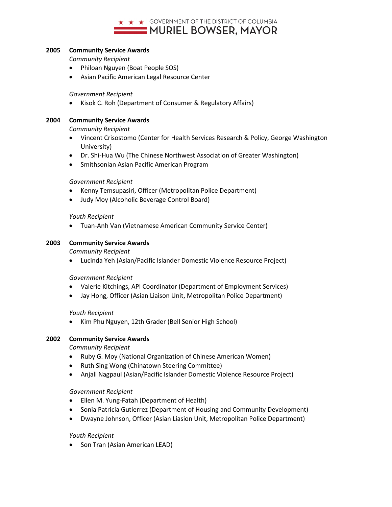

## **2005 Community Service Awards**

*Community Recipient*

- Philoan Nguyen (Boat People SOS)
- Asian Pacific American Legal Resource Center

*Government Recipient*

• Kisok C. Roh (Department of Consumer & Regulatory Affairs)

### **2004 Community Service Awards**

*Community Recipient*

- Vincent Crisostomo (Center for Health Services Research & Policy, George Washington University)
- Dr. Shi-Hua Wu (The Chinese Northwest Association of Greater Washington)
- Smithsonian Asian Pacific American Program

### *Government Recipient*

- Kenny Temsupasiri, Officer (Metropolitan Police Department)
- Judy Moy (Alcoholic Beverage Control Board)

#### *Youth Recipient*

• Tuan-Anh Van (Vietnamese American Community Service Center)

### **2003 Community Service Awards**

*Community Recipient*

• Lucinda Yeh (Asian/Pacific Islander Domestic Violence Resource Project)

#### *Government Recipient*

- Valerie Kitchings, API Coordinator (Department of Employment Services)
- Jay Hong, Officer (Asian Liaison Unit, Metropolitan Police Department)

#### *Youth Recipient*

• Kim Phu Nguyen, 12th Grader (Bell Senior High School)

# **2002 Community Service Awards**

*Community Recipient*

- Ruby G. Moy (National Organization of Chinese American Women)
- Ruth Sing Wong (Chinatown Steering Committee)
- Anjali Nagpaul (Asian/Pacific Islander Domestic Violence Resource Project)

#### *Government Recipient*

- Ellen M. Yung-Fatah (Department of Health)
- Sonia Patricia Gutierrez (Department of Housing and Community Development)
- Dwayne Johnson, Officer (Asian Liasion Unit, Metropolitan Police Department)

#### *Youth Recipient*

• Son Tran (Asian American LEAD)